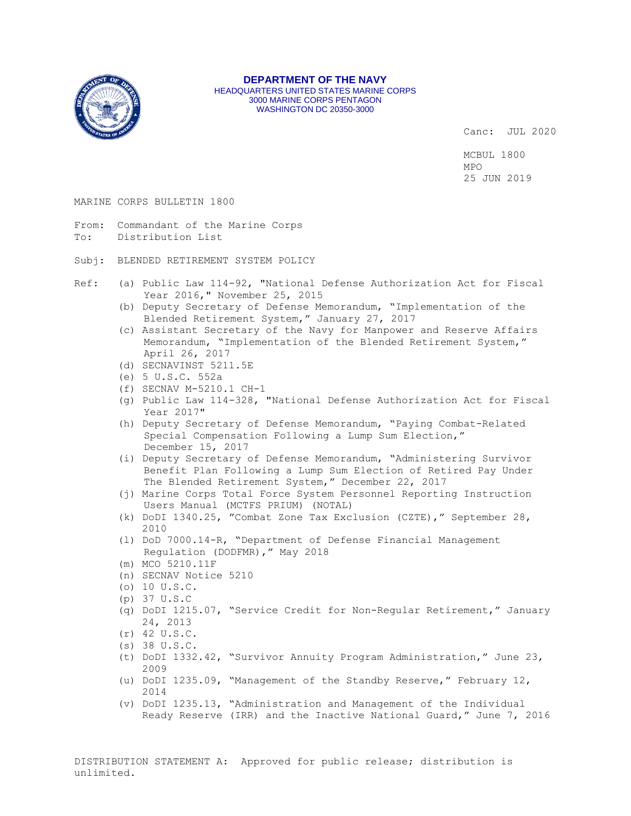

**DEPARTMENT OF THE NAVY** HEADQUARTERS UNITED STATES MARINE CORPS 3000 MARINE CORPS PENTAGON WASHINGTON DC 20350-3000

Canc: JUL 2020

MCBUL 1800 MPO 25 JUN 2019

### MARINE CORPS BULLETIN 1800

- From: Commandant of the Marine Corps To: Distribution List
- Subj: BLENDED RETIREMENT SYSTEM POLICY
- Ref: (a) Public Law 114-92, "National Defense Authorization Act for Fiscal Year 2016," November 25, 2015
	- (b) Deputy Secretary of Defense Memorandum, "Implementation of the Blended Retirement System," January 27, 2017
	- (c) Assistant Secretary of the Navy for Manpower and Reserve Affairs Memorandum, "Implementation of the Blended Retirement System," April 26, 2017
	- (d) SECNAVINST 5211.5E
	- (e) 5 U.S.C. 552a
	- (f) SECNAV M-5210.1 CH-1
	- (g) Public Law 114-328, "National Defense Authorization Act for Fiscal Year 2017"
	- (h) Deputy Secretary of Defense Memorandum, "Paying Combat-Related Special Compensation Following a Lump Sum Election," December 15, 2017
	- (i) Deputy Secretary of Defense Memorandum, "Administering Survivor Benefit Plan Following a Lump Sum Election of Retired Pay Under The Blended Retirement System," December 22, 2017
	- (j) Marine Corps Total Force System Personnel Reporting Instruction Users Manual (MCTFS PRIUM) (NOTAL)
	- (k) DoDI 1340.25, "Combat Zone Tax Exclusion (CZTE)," September 28, 2010
	- (l) DoD 7000.14-R, "Department of Defense Financial Management Regulation (DODFMR)," May 2018
	- (m) MCO 5210.11F
	- (n) SECNAV Notice 5210
	- (o) 10 U.S.C.
	- (p) 37 U.S.C
	- (q) DoDI 1215.07, "Service Credit for Non-Regular Retirement," January 24, 2013
	- (r) 42 U.S.C.
	- (s) 38 U.S.C.
	- (t) DoDI 1332.42, "Survivor Annuity Program Administration," June 23, 2009
	- (u) DoDI 1235.09, "Management of the Standby Reserve," February 12, 2014
	- (v) DoDI 1235.13, "Administration and Management of the Individual Ready Reserve (IRR) and the Inactive National Guard," June 7, 2016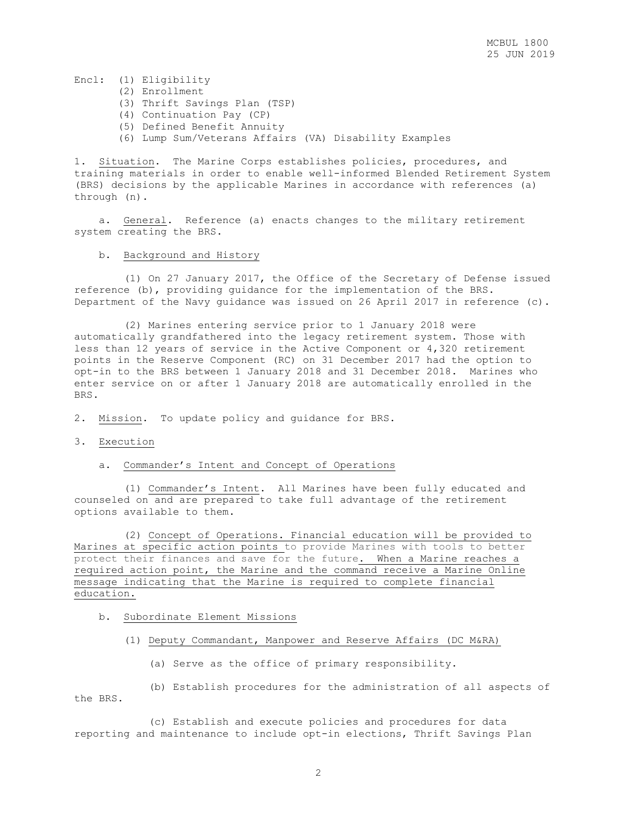## Encl: (1) Eligibility

- (2) Enrollment
- (3) Thrift Savings Plan (TSP)
- (4) Continuation Pay (CP)
- (5) Defined Benefit Annuity
- (6) Lump Sum/Veterans Affairs (VA) Disability Examples

1. Situation. The Marine Corps establishes policies, procedures, and training materials in order to enable well-informed Blended Retirement System (BRS) decisions by the applicable Marines in accordance with references (a) through (n).

 a. General. Reference (a) enacts changes to the military retirement system creating the BRS.

### b. Background and History

 (1) On 27 January 2017, the Office of the Secretary of Defense issued reference (b), providing guidance for the implementation of the BRS. Department of the Navy guidance was issued on 26 April 2017 in reference (c).

 (2) Marines entering service prior to 1 January 2018 were automatically grandfathered into the legacy retirement system. Those with less than 12 years of service in the Active Component or 4,320 retirement points in the Reserve Component (RC) on 31 December 2017 had the option to opt-in to the BRS between 1 January 2018 and 31 December 2018. Marines who enter service on or after 1 January 2018 are automatically enrolled in the BRS.

2. Mission. To update policy and guidance for BRS.

3. Execution

### a. Commander's Intent and Concept of Operations

 (1) Commander's Intent. All Marines have been fully educated and counseled on and are prepared to take full advantage of the retirement options available to them.

 (2) Concept of Operations. Financial education will be provided to Marines at specific action points to provide Marines with tools to better protect their finances and save for the future. When a Marine reaches a required action point, the Marine and the command receive a Marine Online message indicating that the Marine is required to complete financial education.

### b. Subordinate Element Missions

- (1) Deputy Commandant, Manpower and Reserve Affairs (DC M&RA)
	- (a) Serve as the office of primary responsibility.

 (b) Establish procedures for the administration of all aspects of the BRS.

 (c) Establish and execute policies and procedures for data reporting and maintenance to include opt-in elections, Thrift Savings Plan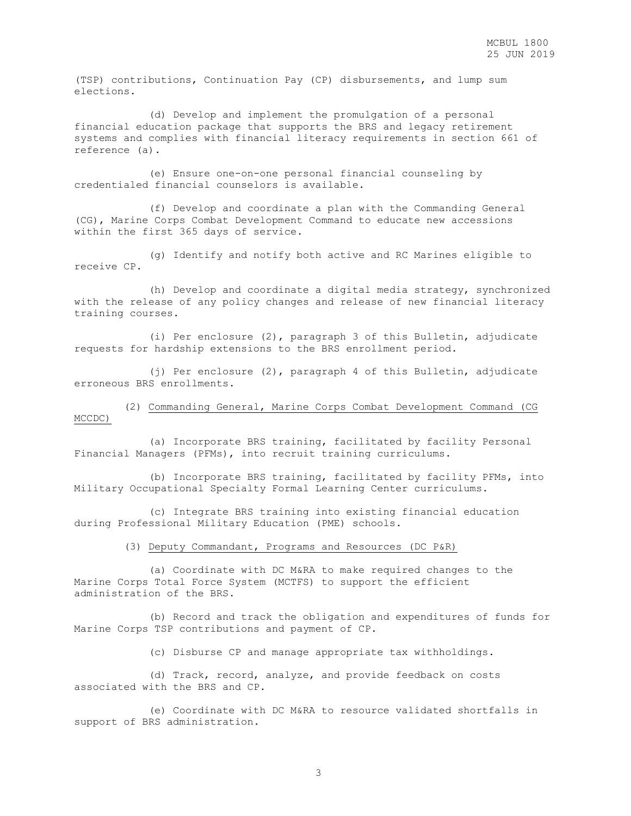(TSP) contributions, Continuation Pay (CP) disbursements, and lump sum elections.

 (d) Develop and implement the promulgation of a personal financial education package that supports the BRS and legacy retirement systems and complies with financial literacy requirements in section 661 of reference (a).

 (e) Ensure one-on-one personal financial counseling by credentialed financial counselors is available.

 (f) Develop and coordinate a plan with the Commanding General (CG), Marine Corps Combat Development Command to educate new accessions within the first 365 days of service.

 (g) Identify and notify both active and RC Marines eligible to receive CP.

 (h) Develop and coordinate a digital media strategy, synchronized with the release of any policy changes and release of new financial literacy training courses.

 (i) Per enclosure (2), paragraph 3 of this Bulletin, adjudicate requests for hardship extensions to the BRS enrollment period.

 (j) Per enclosure (2), paragraph 4 of this Bulletin, adjudicate erroneous BRS enrollments.

 (2) Commanding General, Marine Corps Combat Development Command (CG MCCDC)

 (a) Incorporate BRS training, facilitated by facility Personal Financial Managers (PFMs), into recruit training curriculums.

 (b) Incorporate BRS training, facilitated by facility PFMs, into Military Occupational Specialty Formal Learning Center curriculums.

 (c) Integrate BRS training into existing financial education during Professional Military Education (PME) schools.

(3) Deputy Commandant, Programs and Resources (DC P&R)

 (a) Coordinate with DC M&RA to make required changes to the Marine Corps Total Force System (MCTFS) to support the efficient administration of the BRS.

 (b) Record and track the obligation and expenditures of funds for Marine Corps TSP contributions and payment of CP.

(c) Disburse CP and manage appropriate tax withholdings.

 (d) Track, record, analyze, and provide feedback on costs associated with the BRS and CP.

 (e) Coordinate with DC M&RA to resource validated shortfalls in support of BRS administration.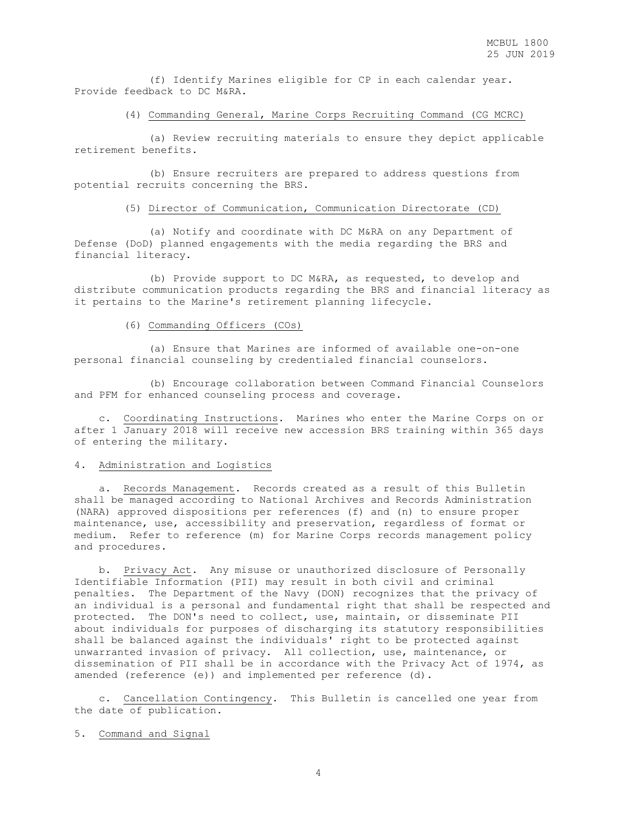(f) Identify Marines eligible for CP in each calendar year. Provide feedback to DC M&RA.

(4) Commanding General, Marine Corps Recruiting Command (CG MCRC)

 (a) Review recruiting materials to ensure they depict applicable retirement benefits.

 (b) Ensure recruiters are prepared to address questions from potential recruits concerning the BRS.

(5) Director of Communication, Communication Directorate (CD)

 (a) Notify and coordinate with DC M&RA on any Department of Defense (DoD) planned engagements with the media regarding the BRS and financial literacy.

 (b) Provide support to DC M&RA, as requested, to develop and distribute communication products regarding the BRS and financial literacy as it pertains to the Marine's retirement planning lifecycle.

### (6) Commanding Officers (COs)

 (a) Ensure that Marines are informed of available one-on-one personal financial counseling by credentialed financial counselors.

 (b) Encourage collaboration between Command Financial Counselors and PFM for enhanced counseling process and coverage.

 c. Coordinating Instructions. Marines who enter the Marine Corps on or after 1 January 2018 will receive new accession BRS training within 365 days of entering the military.

### 4. Administration and Logistics

 a. Records Management. Records created as a result of this Bulletin shall be managed according to National Archives and Records Administration (NARA) approved dispositions per references (f) and (n) to ensure proper maintenance, use, accessibility and preservation, regardless of format or medium. Refer to reference (m) for Marine Corps records management policy and procedures.

 b. Privacy Act. Any misuse or unauthorized disclosure of Personally Identifiable Information (PII) may result in both civil and criminal penalties. The Department of the Navy (DON) recognizes that the privacy of an individual is a personal and fundamental right that shall be respected and protected. The DON's need to collect, use, maintain, or disseminate PII about individuals for purposes of discharging its statutory responsibilities shall be balanced against the individuals' right to be protected against unwarranted invasion of privacy. All collection, use, maintenance, or dissemination of PII shall be in accordance with the Privacy Act of 1974, as amended (reference (e)) and implemented per reference (d).

 c. Cancellation Contingency. This Bulletin is cancelled one year from the date of publication.

5. Command and Signal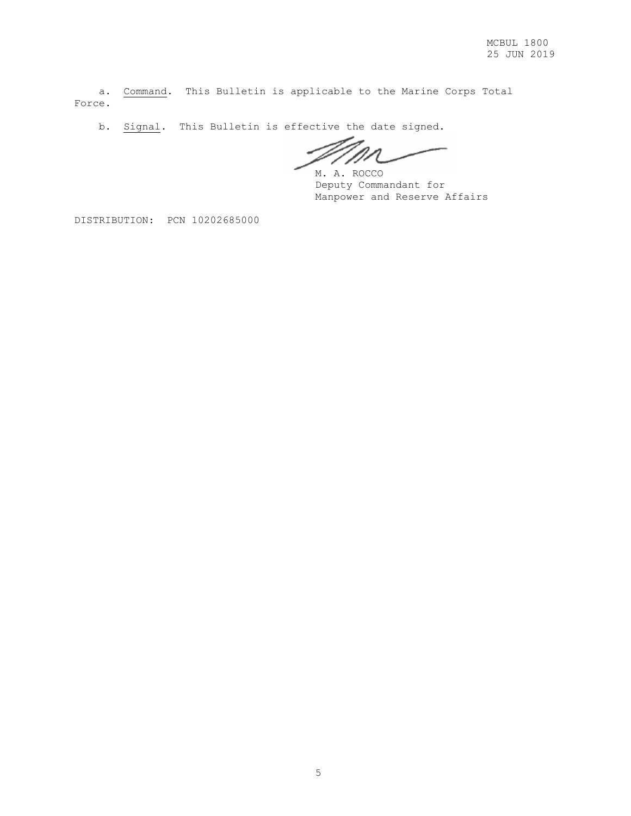a. Command. This Bulletin is applicable to the Marine Corps Total Force.

b. Signal. This Bulletin is effective the date signed.

D

M. A. ROCCO Deputy Commandant for Manpower and Reserve Affairs

DISTRIBUTION: PCN 10202685000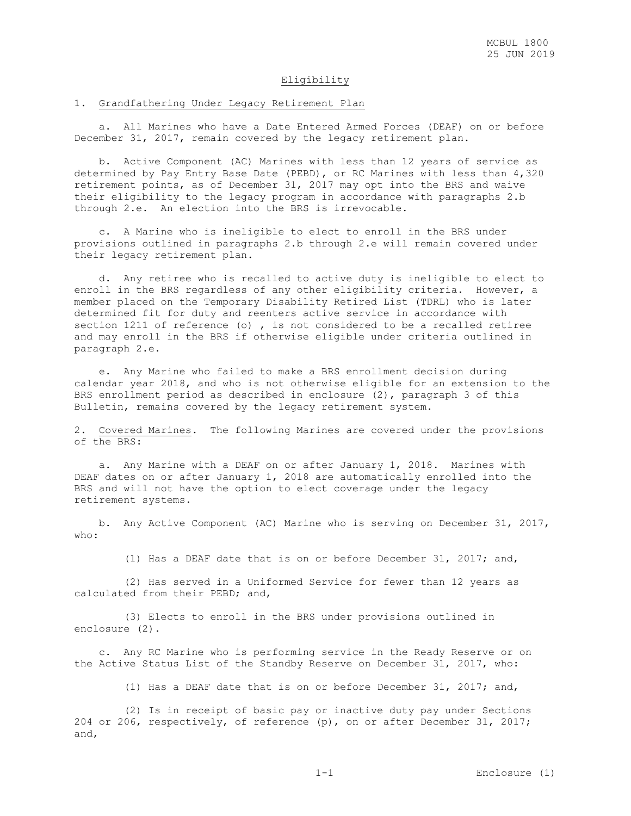### Eligibility

#### 1. Grandfathering Under Legacy Retirement Plan

 a. All Marines who have a Date Entered Armed Forces (DEAF) on or before December 31, 2017, remain covered by the legacy retirement plan.

 b. Active Component (AC) Marines with less than 12 years of service as determined by Pay Entry Base Date (PEBD), or RC Marines with less than 4,320 retirement points, as of December 31, 2017 may opt into the BRS and waive their eligibility to the legacy program in accordance with paragraphs 2.b through 2.e. An election into the BRS is irrevocable.

 c. A Marine who is ineligible to elect to enroll in the BRS under provisions outlined in paragraphs 2.b through 2.e will remain covered under their legacy retirement plan.

 d. Any retiree who is recalled to active duty is ineligible to elect to enroll in the BRS regardless of any other eligibility criteria. However, a member placed on the Temporary Disability Retired List (TDRL) who is later determined fit for duty and reenters active service in accordance with section 1211 of reference (o) , is not considered to be a recalled retiree and may enroll in the BRS if otherwise eligible under criteria outlined in paragraph 2.e.

 e. Any Marine who failed to make a BRS enrollment decision during calendar year 2018, and who is not otherwise eligible for an extension to the BRS enrollment period as described in enclosure (2), paragraph 3 of this Bulletin, remains covered by the legacy retirement system.

2. Covered Marines. The following Marines are covered under the provisions of the BRS:

 a. Any Marine with a DEAF on or after January 1, 2018. Marines with DEAF dates on or after January 1, 2018 are automatically enrolled into the BRS and will not have the option to elect coverage under the legacy retirement systems.

 b. Any Active Component (AC) Marine who is serving on December 31, 2017, who:

(1) Has a DEAF date that is on or before December 31, 2017; and,

 (2) Has served in a Uniformed Service for fewer than 12 years as calculated from their PEBD; and,

 (3) Elects to enroll in the BRS under provisions outlined in enclosure (2).

 c. Any RC Marine who is performing service in the Ready Reserve or on the Active Status List of the Standby Reserve on December 31, 2017, who:

(1) Has a DEAF date that is on or before December 31, 2017; and,

 (2) Is in receipt of basic pay or inactive duty pay under Sections 204 or 206, respectively, of reference (p), on or after December 31, 2017; and,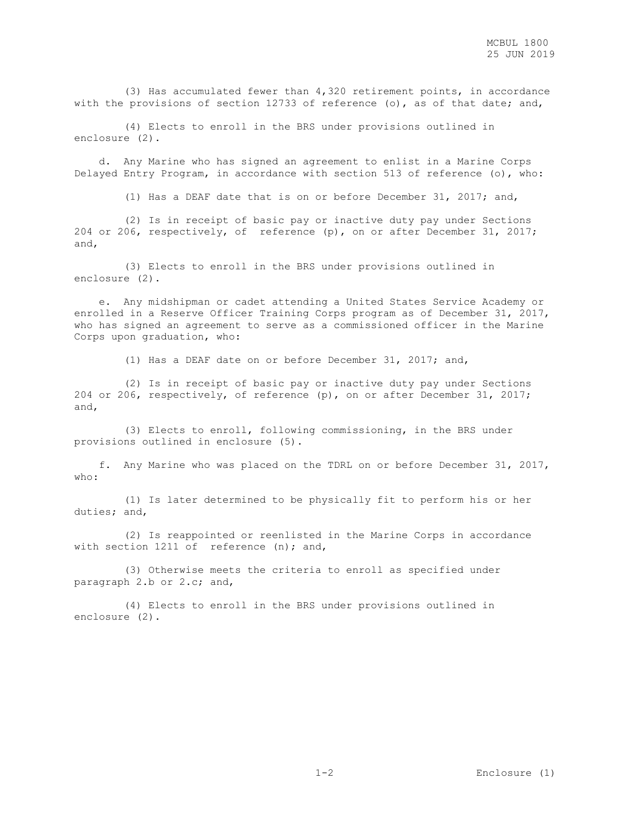(3) Has accumulated fewer than 4,320 retirement points, in accordance with the provisions of section 12733 of reference (o), as of that date; and,

 (4) Elects to enroll in the BRS under provisions outlined in enclosure (2).

 d. Any Marine who has signed an agreement to enlist in a Marine Corps Delayed Entry Program, in accordance with section 513 of reference (o), who:

(1) Has a DEAF date that is on or before December 31, 2017; and,

 (2) Is in receipt of basic pay or inactive duty pay under Sections 204 or 206, respectively, of reference (p), on or after December 31, 2017; and,

 (3) Elects to enroll in the BRS under provisions outlined in enclosure (2).

 e. Any midshipman or cadet attending a United States Service Academy or enrolled in a Reserve Officer Training Corps program as of December 31, 2017, who has signed an agreement to serve as a commissioned officer in the Marine Corps upon graduation, who:

(1) Has a DEAF date on or before December 31, 2017; and,

 (2) Is in receipt of basic pay or inactive duty pay under Sections 204 or 206, respectively, of reference (p), on or after December 31, 2017; and,

 (3) Elects to enroll, following commissioning, in the BRS under provisions outlined in enclosure (5).

 f. Any Marine who was placed on the TDRL on or before December 31, 2017, who:

 (1) Is later determined to be physically fit to perform his or her duties; and,

 (2) Is reappointed or reenlisted in the Marine Corps in accordance with section 1211 of reference (n); and,

 (3) Otherwise meets the criteria to enroll as specified under paragraph 2.b or 2.c; and,

 (4) Elects to enroll in the BRS under provisions outlined in enclosure (2).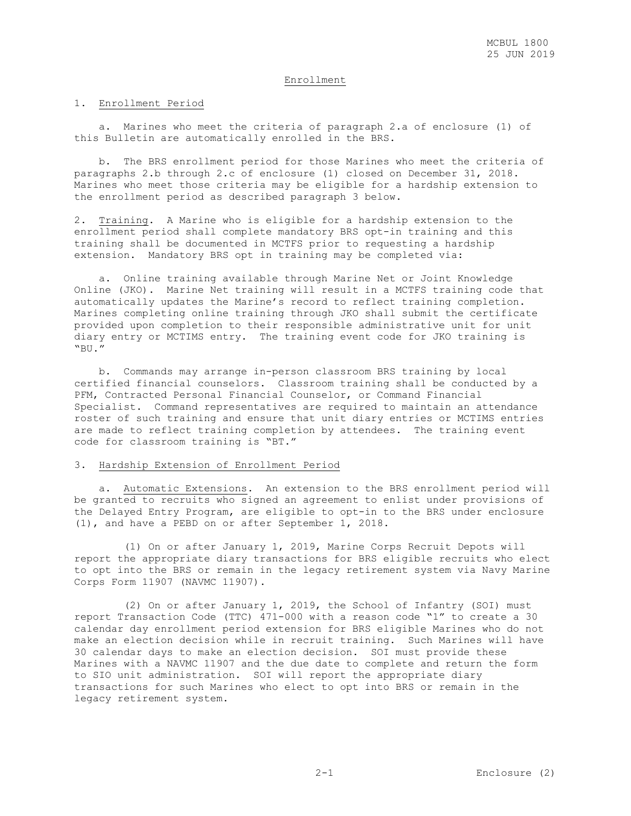### Enrollment

#### 1. Enrollment Period

 a. Marines who meet the criteria of paragraph 2.a of enclosure (1) of this Bulletin are automatically enrolled in the BRS.

 b. The BRS enrollment period for those Marines who meet the criteria of paragraphs 2.b through 2.c of enclosure (1) closed on December 31, 2018. Marines who meet those criteria may be eligible for a hardship extension to the enrollment period as described paragraph 3 below.

2. Training. A Marine who is eligible for a hardship extension to the enrollment period shall complete mandatory BRS opt-in training and this training shall be documented in MCTFS prior to requesting a hardship extension. Mandatory BRS opt in training may be completed via:

 a. Online training available through Marine Net or Joint Knowledge Online (JKO). Marine Net training will result in a MCTFS training code that automatically updates the Marine's record to reflect training completion. Marines completing online training through JKO shall submit the certificate provided upon completion to their responsible administrative unit for unit diary entry or MCTIMS entry. The training event code for JKO training is "BU."

 b. Commands may arrange in-person classroom BRS training by local certified financial counselors. Classroom training shall be conducted by a PFM, Contracted Personal Financial Counselor, or Command Financial Specialist. Command representatives are required to maintain an attendance roster of such training and ensure that unit diary entries or MCTIMS entries are made to reflect training completion by attendees. The training event code for classroom training is "BT."

### 3. Hardship Extension of Enrollment Period

 a. Automatic Extensions. An extension to the BRS enrollment period will be granted to recruits who signed an agreement to enlist under provisions of the Delayed Entry Program, are eligible to opt-in to the BRS under enclosure (1), and have a PEBD on or after September 1, 2018.

 (1) On or after January 1, 2019, Marine Corps Recruit Depots will report the appropriate diary transactions for BRS eligible recruits who elect to opt into the BRS or remain in the legacy retirement system via Navy Marine Corps Form 11907 (NAVMC 11907).

 (2) On or after January 1, 2019, the School of Infantry (SOI) must report Transaction Code (TTC) 471-000 with a reason code "1" to create a 30 calendar day enrollment period extension for BRS eligible Marines who do not make an election decision while in recruit training. Such Marines will have 30 calendar days to make an election decision. SOI must provide these Marines with a NAVMC 11907 and the due date to complete and return the form to SIO unit administration. SOI will report the appropriate diary transactions for such Marines who elect to opt into BRS or remain in the legacy retirement system.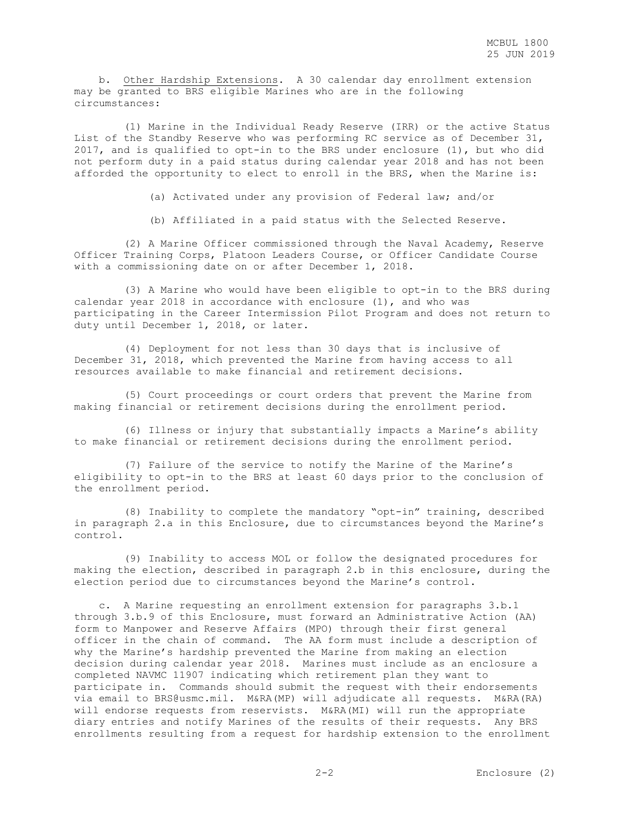b. Other Hardship Extensions. A 30 calendar day enrollment extension may be granted to BRS eligible Marines who are in the following circumstances:

 (1) Marine in the Individual Ready Reserve (IRR) or the active Status List of the Standby Reserve who was performing RC service as of December 31, 2017, and is qualified to opt-in to the BRS under enclosure (1), but who did not perform duty in a paid status during calendar year 2018 and has not been afforded the opportunity to elect to enroll in the BRS, when the Marine is:

(a) Activated under any provision of Federal law; and/or

(b) Affiliated in a paid status with the Selected Reserve.

 (2) A Marine Officer commissioned through the Naval Academy, Reserve Officer Training Corps, Platoon Leaders Course, or Officer Candidate Course with a commissioning date on or after December 1, 2018.

 (3) A Marine who would have been eligible to opt-in to the BRS during calendar year 2018 in accordance with enclosure (1), and who was participating in the Career Intermission Pilot Program and does not return to duty until December 1, 2018, or later.

 (4) Deployment for not less than 30 days that is inclusive of December 31, 2018, which prevented the Marine from having access to all resources available to make financial and retirement decisions.

 (5) Court proceedings or court orders that prevent the Marine from making financial or retirement decisions during the enrollment period.

 (6) Illness or injury that substantially impacts a Marine's ability to make financial or retirement decisions during the enrollment period.

 (7) Failure of the service to notify the Marine of the Marine's eligibility to opt-in to the BRS at least 60 days prior to the conclusion of the enrollment period.

 (8) Inability to complete the mandatory "opt-in" training, described in paragraph 2.a in this Enclosure, due to circumstances beyond the Marine's control.

 (9) Inability to access MOL or follow the designated procedures for making the election, described in paragraph 2.b in this enclosure, during the election period due to circumstances beyond the Marine's control.

 c. A Marine requesting an enrollment extension for paragraphs 3.b.1 through 3.b.9 of this Enclosure, must forward an Administrative Action (AA) form to Manpower and Reserve Affairs (MPO) through their first general officer in the chain of command. The AA form must include a description of why the Marine's hardship prevented the Marine from making an election decision during calendar year 2018. Marines must include as an enclosure a completed NAVMC 11907 indicating which retirement plan they want to participate in. Commands should submit the request with their endorsements via email to BRS@usmc.mil. M&RA(MP) will adjudicate all requests. M&RA(RA) will endorse requests from reservists. M&RA(MI) will run the appropriate diary entries and notify Marines of the results of their requests. Any BRS enrollments resulting from a request for hardship extension to the enrollment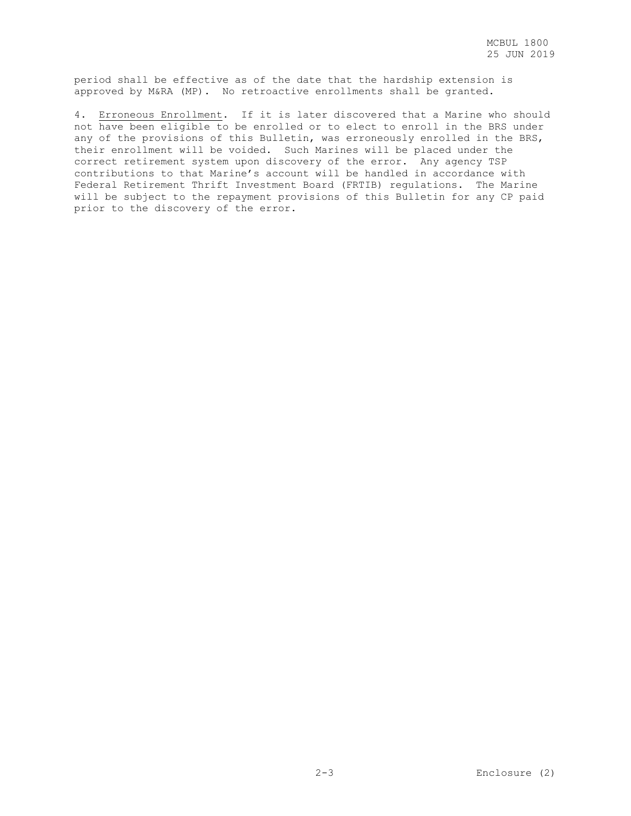period shall be effective as of the date that the hardship extension is approved by M&RA (MP). No retroactive enrollments shall be granted.

4. Erroneous Enrollment. If it is later discovered that a Marine who should not have been eligible to be enrolled or to elect to enroll in the BRS under any of the provisions of this Bulletin, was erroneously enrolled in the BRS, their enrollment will be voided. Such Marines will be placed under the correct retirement system upon discovery of the error. Any agency TSP contributions to that Marine's account will be handled in accordance with Federal Retirement Thrift Investment Board (FRTIB) regulations. The Marine will be subject to the repayment provisions of this Bulletin for any CP paid prior to the discovery of the error.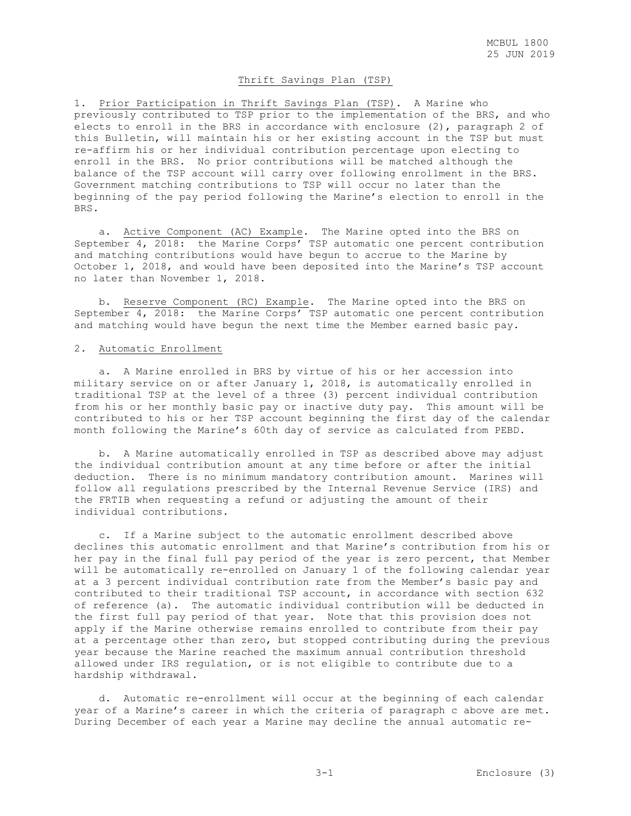### Thrift Savings Plan (TSP)

1. Prior Participation in Thrift Savings Plan (TSP). A Marine who previously contributed to TSP prior to the implementation of the BRS, and who elects to enroll in the BRS in accordance with enclosure (2), paragraph 2 of this Bulletin, will maintain his or her existing account in the TSP but must re-affirm his or her individual contribution percentage upon electing to enroll in the BRS. No prior contributions will be matched although the balance of the TSP account will carry over following enrollment in the BRS. Government matching contributions to TSP will occur no later than the beginning of the pay period following the Marine's election to enroll in the BRS.

 a. Active Component (AC) Example. The Marine opted into the BRS on September 4, 2018: the Marine Corps' TSP automatic one percent contribution and matching contributions would have begun to accrue to the Marine by October 1, 2018, and would have been deposited into the Marine's TSP account no later than November 1, 2018.

 b. Reserve Component (RC) Example. The Marine opted into the BRS on September 4, 2018: the Marine Corps' TSP automatic one percent contribution and matching would have begun the next time the Member earned basic pay.

### 2. Automatic Enrollment

 a. A Marine enrolled in BRS by virtue of his or her accession into military service on or after January 1, 2018, is automatically enrolled in traditional TSP at the level of a three (3) percent individual contribution from his or her monthly basic pay or inactive duty pay. This amount will be contributed to his or her TSP account beginning the first day of the calendar month following the Marine's 60th day of service as calculated from PEBD.

 b. A Marine automatically enrolled in TSP as described above may adjust the individual contribution amount at any time before or after the initial deduction. There is no minimum mandatory contribution amount. Marines will follow all regulations prescribed by the Internal Revenue Service (IRS) and the FRTIB when requesting a refund or adjusting the amount of their individual contributions.

 c. If a Marine subject to the automatic enrollment described above declines this automatic enrollment and that Marine's contribution from his or her pay in the final full pay period of the year is zero percent, that Member will be automatically re-enrolled on January 1 of the following calendar year at a 3 percent individual contribution rate from the Member's basic pay and contributed to their traditional TSP account, in accordance with section 632 of reference (a). The automatic individual contribution will be deducted in the first full pay period of that year. Note that this provision does not apply if the Marine otherwise remains enrolled to contribute from their pay at a percentage other than zero, but stopped contributing during the previous year because the Marine reached the maximum annual contribution threshold allowed under IRS regulation, or is not eligible to contribute due to a hardship withdrawal.

 d. Automatic re-enrollment will occur at the beginning of each calendar year of a Marine's career in which the criteria of paragraph c above are met. During December of each year a Marine may decline the annual automatic re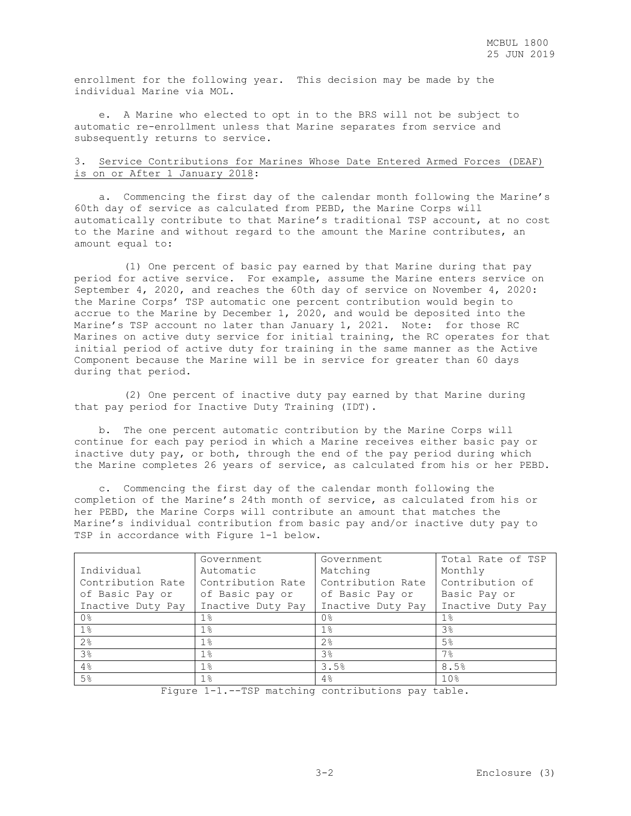enrollment for the following year. This decision may be made by the individual Marine via MOL.

 e. A Marine who elected to opt in to the BRS will not be subject to automatic re-enrollment unless that Marine separates from service and subsequently returns to service.

### 3. Service Contributions for Marines Whose Date Entered Armed Forces (DEAF) is on or After 1 January 2018:

 a. Commencing the first day of the calendar month following the Marine's 60th day of service as calculated from PEBD, the Marine Corps will automatically contribute to that Marine's traditional TSP account, at no cost to the Marine and without regard to the amount the Marine contributes, an amount equal to:

 (1) One percent of basic pay earned by that Marine during that pay period for active service. For example, assume the Marine enters service on September 4, 2020, and reaches the 60th day of service on November 4, 2020: the Marine Corps' TSP automatic one percent contribution would begin to accrue to the Marine by December 1, 2020, and would be deposited into the Marine's TSP account no later than January 1, 2021. Note: for those RC Marines on active duty service for initial training, the RC operates for that initial period of active duty for training in the same manner as the Active Component because the Marine will be in service for greater than 60 days during that period.

 (2) One percent of inactive duty pay earned by that Marine during that pay period for Inactive Duty Training (IDT).

 b. The one percent automatic contribution by the Marine Corps will continue for each pay period in which a Marine receives either basic pay or inactive duty pay, or both, through the end of the pay period during which the Marine completes 26 years of service, as calculated from his or her PEBD.

 c. Commencing the first day of the calendar month following the completion of the Marine's 24th month of service, as calculated from his or her PEBD, the Marine Corps will contribute an amount that matches the Marine's individual contribution from basic pay and/or inactive duty pay to TSP in accordance with Figure 1-1 below.

|                   | Government        | Government        | Total Rate of TSP |
|-------------------|-------------------|-------------------|-------------------|
| Individual        | Automatic         | Matching          | Monthly           |
| Contribution Rate | Contribution Rate | Contribution Rate | Contribution of   |
| of Basic Pay or   | of Basic pay or   | of Basic Pay or   | Basic Pay or      |
| Inactive Duty Pay | Inactive Duty Pay | Inactive Duty Pay | Inactive Duty Pay |
| 0 <sup>°</sup>    | $1\%$             | 0%                | $1\%$             |
| $1\%$             | $1\%$             | $1\%$             | 3 <sup>°</sup>    |
| 2 <sup>°</sup>    | $1\%$             | 2 <sup>°</sup>    | 5%                |
| 3 <sup>°</sup>    | $1\%$             | 3%                | 7%                |
| 4%                | $1\%$             | 3.5%              | 8.5%              |
| 5 <sup>°</sup>    | $1\%$             | 4%                | 10 <sup>°</sup>   |

Figure 1-1.--TSP matching contributions pay table.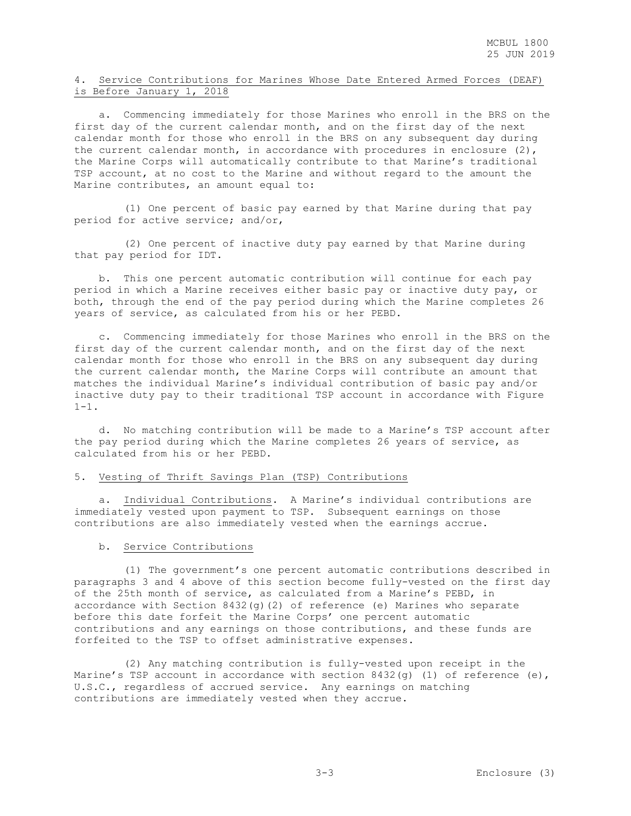### 4. Service Contributions for Marines Whose Date Entered Armed Forces (DEAF) is Before January 1, 2018

 a. Commencing immediately for those Marines who enroll in the BRS on the first day of the current calendar month, and on the first day of the next calendar month for those who enroll in the BRS on any subsequent day during the current calendar month, in accordance with procedures in enclosure (2), the Marine Corps will automatically contribute to that Marine's traditional TSP account, at no cost to the Marine and without regard to the amount the Marine contributes, an amount equal to:

 (1) One percent of basic pay earned by that Marine during that pay period for active service; and/or,

 (2) One percent of inactive duty pay earned by that Marine during that pay period for IDT.

 b. This one percent automatic contribution will continue for each pay period in which a Marine receives either basic pay or inactive duty pay, or both, through the end of the pay period during which the Marine completes 26 years of service, as calculated from his or her PEBD.

 c. Commencing immediately for those Marines who enroll in the BRS on the first day of the current calendar month, and on the first day of the next calendar month for those who enroll in the BRS on any subsequent day during the current calendar month, the Marine Corps will contribute an amount that matches the individual Marine's individual contribution of basic pay and/or inactive duty pay to their traditional TSP account in accordance with Figure  $1 - 1$ .

 d. No matching contribution will be made to a Marine's TSP account after the pay period during which the Marine completes 26 years of service, as calculated from his or her PEBD.

### 5. Vesting of Thrift Savings Plan (TSP) Contributions

 a. Individual Contributions. A Marine's individual contributions are immediately vested upon payment to TSP. Subsequent earnings on those contributions are also immediately vested when the earnings accrue.

### b. Service Contributions

 (1) The government's one percent automatic contributions described in paragraphs 3 and 4 above of this section become fully-vested on the first day of the 25th month of service, as calculated from a Marine's PEBD, in accordance with Section 8432(g)(2) of reference (e) Marines who separate before this date forfeit the Marine Corps' one percent automatic contributions and any earnings on those contributions, and these funds are forfeited to the TSP to offset administrative expenses.

 (2) Any matching contribution is fully-vested upon receipt in the Marine's TSP account in accordance with section  $8432(g)$  (1) of reference (e), U.S.C., regardless of accrued service. Any earnings on matching contributions are immediately vested when they accrue.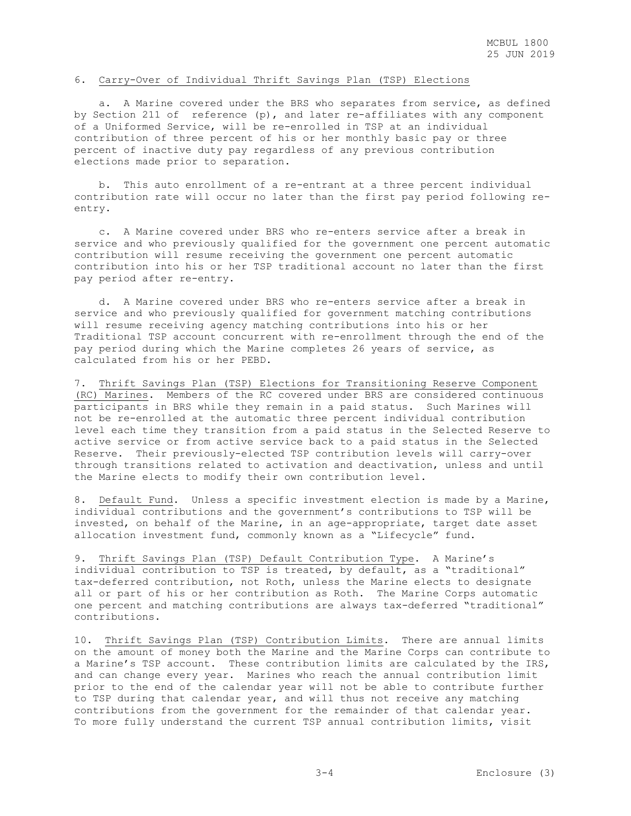## 6. Carry-Over of Individual Thrift Savings Plan (TSP) Elections

 a. A Marine covered under the BRS who separates from service, as defined by Section 211 of reference (p), and later re-affiliates with any component of a Uniformed Service, will be re-enrolled in TSP at an individual contribution of three percent of his or her monthly basic pay or three percent of inactive duty pay regardless of any previous contribution elections made prior to separation.

 b. This auto enrollment of a re-entrant at a three percent individual contribution rate will occur no later than the first pay period following reentry.

 c. A Marine covered under BRS who re-enters service after a break in service and who previously qualified for the government one percent automatic contribution will resume receiving the government one percent automatic contribution into his or her TSP traditional account no later than the first pay period after re-entry.

 d. A Marine covered under BRS who re-enters service after a break in service and who previously qualified for government matching contributions will resume receiving agency matching contributions into his or her Traditional TSP account concurrent with re-enrollment through the end of the pay period during which the Marine completes 26 years of service, as calculated from his or her PEBD.

7. Thrift Savings Plan (TSP) Elections for Transitioning Reserve Component (RC) Marines. Members of the RC covered under BRS are considered continuous participants in BRS while they remain in a paid status. Such Marines will not be re-enrolled at the automatic three percent individual contribution level each time they transition from a paid status in the Selected Reserve to active service or from active service back to a paid status in the Selected Reserve. Their previously-elected TSP contribution levels will carry-over through transitions related to activation and deactivation, unless and until the Marine elects to modify their own contribution level.

8. Default Fund. Unless a specific investment election is made by a Marine, individual contributions and the government's contributions to TSP will be invested, on behalf of the Marine, in an age-appropriate, target date asset allocation investment fund, commonly known as a "Lifecycle" fund.

9. Thrift Savings Plan (TSP) Default Contribution Type. A Marine's individual contribution to TSP is treated, by default, as a "traditional" tax-deferred contribution, not Roth, unless the Marine elects to designate all or part of his or her contribution as Roth. The Marine Corps automatic one percent and matching contributions are always tax-deferred "traditional" contributions.

10. Thrift Savings Plan (TSP) Contribution Limits. There are annual limits on the amount of money both the Marine and the Marine Corps can contribute to a Marine's TSP account. These contribution limits are calculated by the IRS, and can change every year. Marines who reach the annual contribution limit prior to the end of the calendar year will not be able to contribute further to TSP during that calendar year, and will thus not receive any matching contributions from the government for the remainder of that calendar year. To more fully understand the current TSP annual contribution limits, visit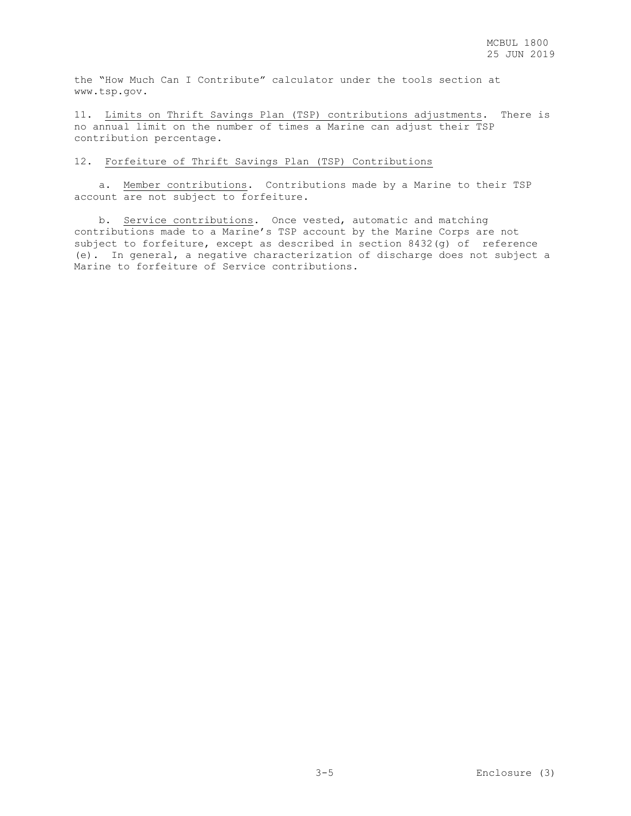the "How Much Can I Contribute" calculator under the tools section at www.tsp.gov.

11. Limits on Thrift Savings Plan (TSP) contributions adjustments. There is no annual limit on the number of times a Marine can adjust their TSP contribution percentage.

## 12. Forfeiture of Thrift Savings Plan (TSP) Contributions

 a. Member contributions. Contributions made by a Marine to their TSP account are not subject to forfeiture.

 b. Service contributions. Once vested, automatic and matching contributions made to a Marine's TSP account by the Marine Corps are not subject to forfeiture, except as described in section 8432(g) of reference (e). In general, a negative characterization of discharge does not subject a Marine to forfeiture of Service contributions.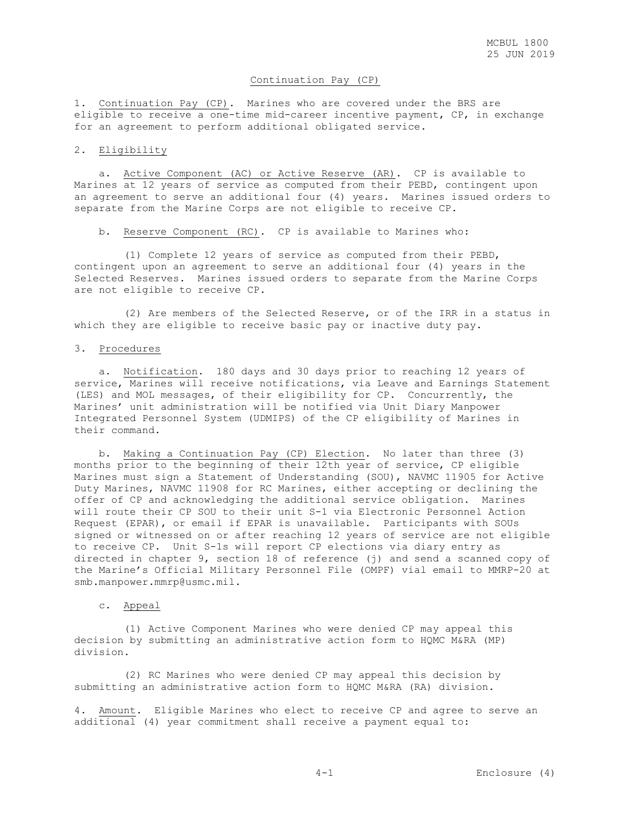## Continuation Pay (CP)

1. Continuation Pay (CP). Marines who are covered under the BRS are eligible to receive a one-time mid-career incentive payment, CP, in exchange for an agreement to perform additional obligated service.

### 2. Eligibility

 a. Active Component (AC) or Active Reserve (AR). CP is available to Marines at 12 years of service as computed from their PEBD, contingent upon an agreement to serve an additional four (4) years. Marines issued orders to separate from the Marine Corps are not eligible to receive CP.

b. Reserve Component (RC). CP is available to Marines who:

 (1) Complete 12 years of service as computed from their PEBD, contingent upon an agreement to serve an additional four (4) years in the Selected Reserves. Marines issued orders to separate from the Marine Corps are not eligible to receive CP.

 (2) Are members of the Selected Reserve, or of the IRR in a status in which they are eligible to receive basic pay or inactive duty pay.

### 3. Procedures

 a. Notification. 180 days and 30 days prior to reaching 12 years of service, Marines will receive notifications, via Leave and Earnings Statement (LES) and MOL messages, of their eligibility for CP. Concurrently, the Marines' unit administration will be notified via Unit Diary Manpower Integrated Personnel System (UDMIPS) of the CP eligibility of Marines in their command.

 b. Making a Continuation Pay (CP) Election. No later than three (3) months prior to the beginning of their 12th year of service, CP eligible Marines must sign a Statement of Understanding (SOU), NAVMC 11905 for Active Duty Marines, NAVMC 11908 for RC Marines, either accepting or declining the offer of CP and acknowledging the additional service obligation. Marines will route their CP SOU to their unit S-1 via Electronic Personnel Action Request (EPAR), or email if EPAR is unavailable. Participants with SOUs signed or witnessed on or after reaching 12 years of service are not eligible to receive CP. Unit S-1s will report CP elections via diary entry as directed in chapter 9, section 18 of reference (j) and send a scanned copy of the Marine's Official Military Personnel File (OMPF) vial email to MMRP-20 at smb.manpower.mmrp@usmc.mil.

### c. Appeal

 (1) Active Component Marines who were denied CP may appeal this decision by submitting an administrative action form to HQMC M&RA (MP) division.

 (2) RC Marines who were denied CP may appeal this decision by submitting an administrative action form to HQMC M&RA (RA) division.

4. Amount. Eligible Marines who elect to receive CP and agree to serve an additional (4) year commitment shall receive a payment equal to: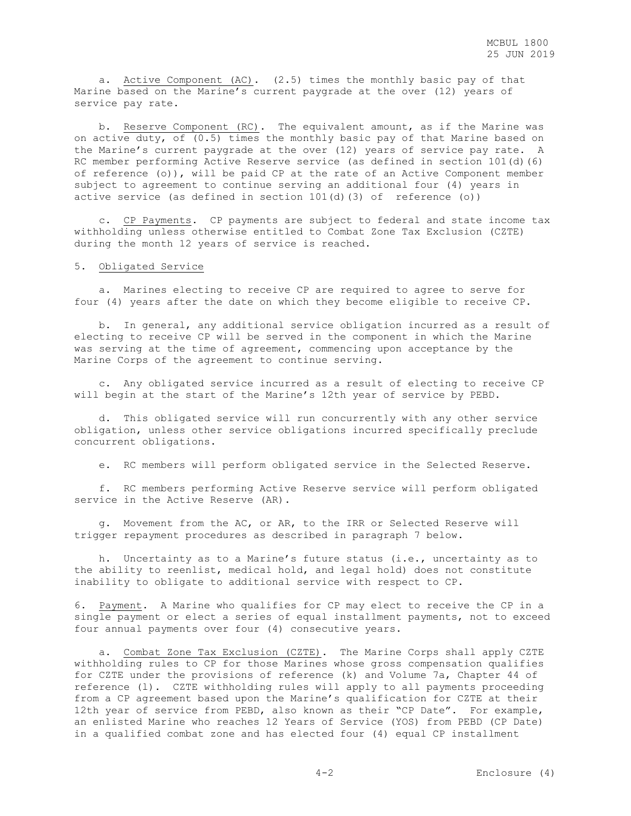a. Active Component (AC). (2.5) times the monthly basic pay of that Marine based on the Marine's current paygrade at the over (12) years of service pay rate.

 b. Reserve Component (RC). The equivalent amount, as if the Marine was on active duty, of  $(0.5)$  times the monthly basic pay of that Marine based on the Marine's current paygrade at the over (12) years of service pay rate. A RC member performing Active Reserve service (as defined in section 101(d)(6) of reference (o)), will be paid CP at the rate of an Active Component member subject to agreement to continue serving an additional four (4) years in active service (as defined in section  $101(d)$  (3) of reference (o))

 c. CP Payments. CP payments are subject to federal and state income tax withholding unless otherwise entitled to Combat Zone Tax Exclusion (CZTE) during the month 12 years of service is reached.

### 5. Obligated Service

 a. Marines electing to receive CP are required to agree to serve for four (4) years after the date on which they become eligible to receive CP.

 b. In general, any additional service obligation incurred as a result of electing to receive CP will be served in the component in which the Marine was serving at the time of agreement, commencing upon acceptance by the Marine Corps of the agreement to continue serving.

 c. Any obligated service incurred as a result of electing to receive CP will begin at the start of the Marine's 12th year of service by PEBD.

 d. This obligated service will run concurrently with any other service obligation, unless other service obligations incurred specifically preclude concurrent obligations.

e. RC members will perform obligated service in the Selected Reserve.

 f. RC members performing Active Reserve service will perform obligated service in the Active Reserve (AR).

 g. Movement from the AC, or AR, to the IRR or Selected Reserve will trigger repayment procedures as described in paragraph 7 below.

 h. Uncertainty as to a Marine's future status (i.e., uncertainty as to the ability to reenlist, medical hold, and legal hold) does not constitute inability to obligate to additional service with respect to CP.

6. Payment. A Marine who qualifies for CP may elect to receive the CP in a single payment or elect a series of equal installment payments, not to exceed four annual payments over four (4) consecutive years.

 a. Combat Zone Tax Exclusion (CZTE). The Marine Corps shall apply CZTE withholding rules to CP for those Marines whose gross compensation qualifies for CZTE under the provisions of reference (k) and Volume 7a, Chapter 44 of reference (l). CZTE withholding rules will apply to all payments proceeding from a CP agreement based upon the Marine's qualification for CZTE at their 12th year of service from PEBD, also known as their "CP Date". For example, an enlisted Marine who reaches 12 Years of Service (YOS) from PEBD (CP Date) in a qualified combat zone and has elected four (4) equal CP installment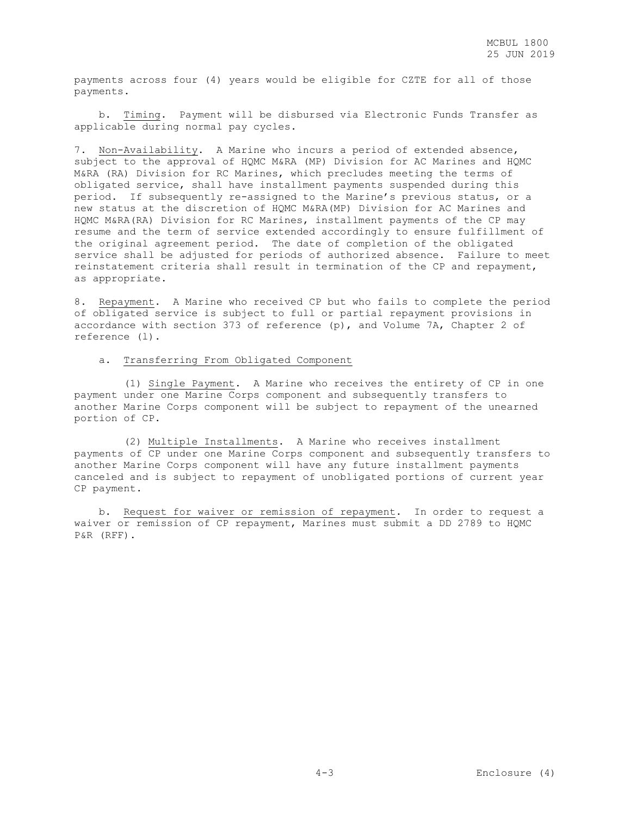payments across four (4) years would be eligible for CZTE for all of those payments.

 b. Timing. Payment will be disbursed via Electronic Funds Transfer as applicable during normal pay cycles.

7. Non-Availability. A Marine who incurs a period of extended absence, subject to the approval of HQMC M&RA (MP) Division for AC Marines and HQMC M&RA (RA) Division for RC Marines, which precludes meeting the terms of obligated service, shall have installment payments suspended during this period. If subsequently re-assigned to the Marine's previous status, or a new status at the discretion of HQMC M&RA(MP) Division for AC Marines and HQMC M&RA(RA) Division for RC Marines, installment payments of the CP may resume and the term of service extended accordingly to ensure fulfillment of the original agreement period. The date of completion of the obligated service shall be adjusted for periods of authorized absence. Failure to meet reinstatement criteria shall result in termination of the CP and repayment, as appropriate.

8. Repayment. A Marine who received CP but who fails to complete the period of obligated service is subject to full or partial repayment provisions in accordance with section 373 of reference (p), and Volume 7A, Chapter 2 of reference (l).

### a. Transferring From Obligated Component

 (1) Single Payment. A Marine who receives the entirety of CP in one payment under one Marine Corps component and subsequently transfers to another Marine Corps component will be subject to repayment of the unearned portion of CP.

 (2) Multiple Installments. A Marine who receives installment payments of CP under one Marine Corps component and subsequently transfers to another Marine Corps component will have any future installment payments canceled and is subject to repayment of unobligated portions of current year CP payment.

 b. Request for waiver or remission of repayment. In order to request a waiver or remission of CP repayment, Marines must submit a DD 2789 to HQMC P&R (RFF).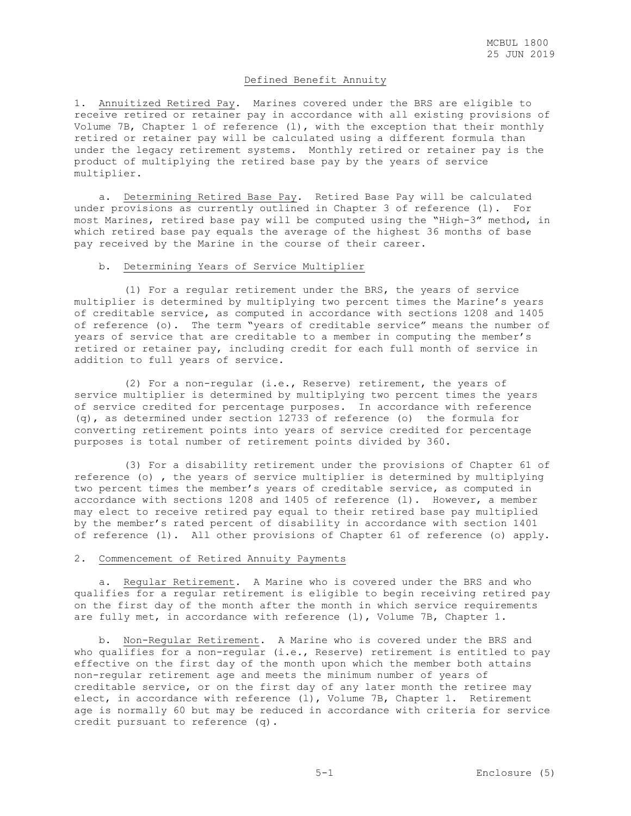### Defined Benefit Annuity

1. Annuitized Retired Pay. Marines covered under the BRS are eligible to receive retired or retainer pay in accordance with all existing provisions of Volume 7B, Chapter 1 of reference (l), with the exception that their monthly retired or retainer pay will be calculated using a different formula than under the legacy retirement systems. Monthly retired or retainer pay is the product of multiplying the retired base pay by the years of service multiplier.

 a. Determining Retired Base Pay. Retired Base Pay will be calculated under provisions as currently outlined in Chapter 3 of reference (l). For most Marines, retired base pay will be computed using the "High-3" method, in which retired base pay equals the average of the highest 36 months of base pay received by the Marine in the course of their career.

### b. Determining Years of Service Multiplier

 (1) For a regular retirement under the BRS, the years of service multiplier is determined by multiplying two percent times the Marine's years of creditable service, as computed in accordance with sections 1208 and 1405 of reference (o). The term "years of creditable service" means the number of years of service that are creditable to a member in computing the member's retired or retainer pay, including credit for each full month of service in addition to full years of service.

 (2) For a non-regular (i.e., Reserve) retirement, the years of service multiplier is determined by multiplying two percent times the years of service credited for percentage purposes. In accordance with reference (q), as determined under section 12733 of reference (o) the formula for converting retirement points into years of service credited for percentage purposes is total number of retirement points divided by 360.

 (3) For a disability retirement under the provisions of Chapter 61 of reference (o) , the years of service multiplier is determined by multiplying two percent times the member's years of creditable service, as computed in accordance with sections 1208 and 1405 of reference (l). However, a member may elect to receive retired pay equal to their retired base pay multiplied by the member's rated percent of disability in accordance with section 1401 of reference (l). All other provisions of Chapter 61 of reference (o) apply.

### 2. Commencement of Retired Annuity Payments

 a. Regular Retirement. A Marine who is covered under the BRS and who qualifies for a regular retirement is eligible to begin receiving retired pay on the first day of the month after the month in which service requirements are fully met, in accordance with reference (1), Volume 7B, Chapter 1.

 b. Non-Regular Retirement. A Marine who is covered under the BRS and who qualifies for a non-regular (i.e., Reserve) retirement is entitled to pay effective on the first day of the month upon which the member both attains non-regular retirement age and meets the minimum number of years of creditable service, or on the first day of any later month the retiree may elect, in accordance with reference (l), Volume 7B, Chapter 1. Retirement age is normally 60 but may be reduced in accordance with criteria for service credit pursuant to reference (q).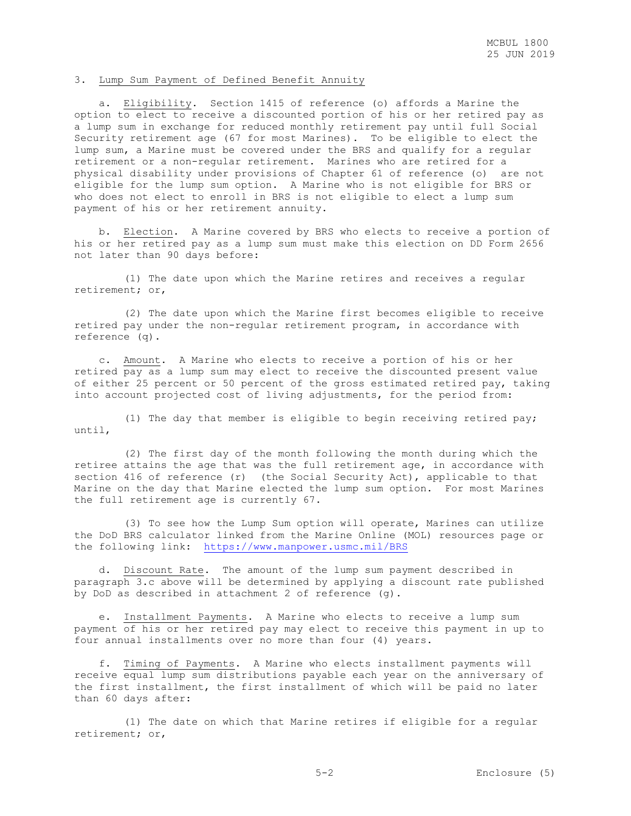### 3. Lump Sum Payment of Defined Benefit Annuity

 a. Eligibility. Section 1415 of reference (o) affords a Marine the option to elect to receive a discounted portion of his or her retired pay as a lump sum in exchange for reduced monthly retirement pay until full Social Security retirement age (67 for most Marines). To be eligible to elect the lump sum, a Marine must be covered under the BRS and qualify for a regular retirement or a non-regular retirement. Marines who are retired for a physical disability under provisions of Chapter 61 of reference (o) are not eligible for the lump sum option. A Marine who is not eligible for BRS or who does not elect to enroll in BRS is not eligible to elect a lump sum payment of his or her retirement annuity.

 b. Election. A Marine covered by BRS who elects to receive a portion of his or her retired pay as a lump sum must make this election on DD Form 2656 not later than 90 days before:

 (1) The date upon which the Marine retires and receives a regular retirement; or,

 (2) The date upon which the Marine first becomes eligible to receive retired pay under the non-regular retirement program, in accordance with reference (q).

 c. Amount. A Marine who elects to receive a portion of his or her retired pay as a lump sum may elect to receive the discounted present value of either 25 percent or 50 percent of the gross estimated retired pay, taking into account projected cost of living adjustments, for the period from:

 (1) The day that member is eligible to begin receiving retired pay; until,

 (2) The first day of the month following the month during which the retiree attains the age that was the full retirement age, in accordance with section 416 of reference (r) (the Social Security Act), applicable to that Marine on the day that Marine elected the lump sum option. For most Marines the full retirement age is currently 67.

 (3) To see how the Lump Sum option will operate, Marines can utilize the DoD BRS calculator linked from the Marine Online (MOL) resources page or the following link: <https://www.manpower.usmc.mil/BRS>

 d. Discount Rate. The amount of the lump sum payment described in paragraph 3.c above will be determined by applying a discount rate published by DoD as described in attachment 2 of reference (g).

 e. Installment Payments. A Marine who elects to receive a lump sum payment of his or her retired pay may elect to receive this payment in up to four annual installments over no more than four (4) years.

 f. Timing of Payments. A Marine who elects installment payments will receive equal lump sum distributions payable each year on the anniversary of the first installment, the first installment of which will be paid no later than 60 days after:

 (1) The date on which that Marine retires if eligible for a regular retirement; or,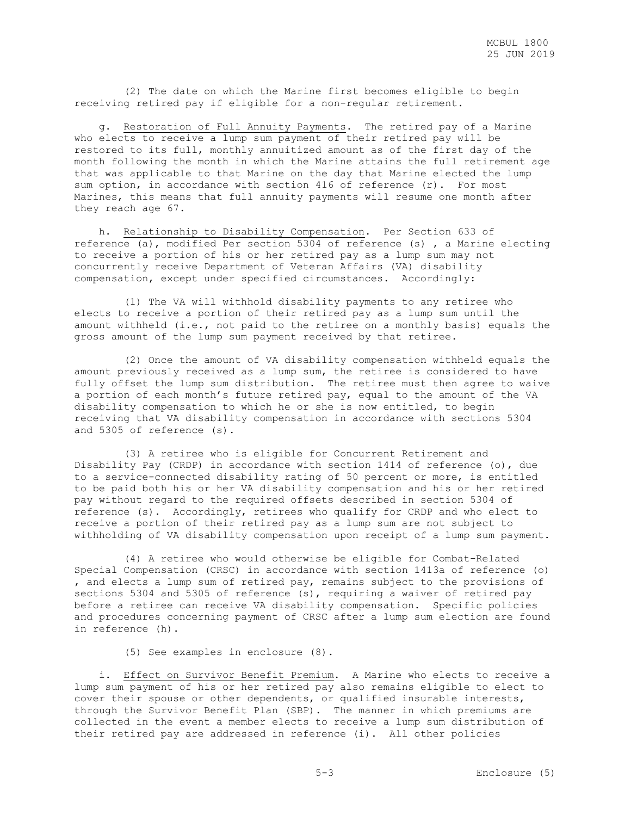(2) The date on which the Marine first becomes eligible to begin receiving retired pay if eligible for a non-regular retirement.

 g. Restoration of Full Annuity Payments. The retired pay of a Marine who elects to receive a lump sum payment of their retired pay will be restored to its full, monthly annuitized amount as of the first day of the month following the month in which the Marine attains the full retirement age that was applicable to that Marine on the day that Marine elected the lump sum option, in accordance with section 416 of reference (r). For most Marines, this means that full annuity payments will resume one month after they reach age 67.

 h. Relationship to Disability Compensation. Per Section 633 of reference (a), modified Per section 5304 of reference (s) , a Marine electing to receive a portion of his or her retired pay as a lump sum may not concurrently receive Department of Veteran Affairs (VA) disability compensation, except under specified circumstances. Accordingly:

 (1) The VA will withhold disability payments to any retiree who elects to receive a portion of their retired pay as a lump sum until the amount withheld (i.e., not paid to the retiree on a monthly basis) equals the gross amount of the lump sum payment received by that retiree.

 (2) Once the amount of VA disability compensation withheld equals the amount previously received as a lump sum, the retiree is considered to have fully offset the lump sum distribution. The retiree must then agree to waive a portion of each month's future retired pay, equal to the amount of the VA disability compensation to which he or she is now entitled, to begin receiving that VA disability compensation in accordance with sections 5304 and 5305 of reference (s).

 (3) A retiree who is eligible for Concurrent Retirement and Disability Pay (CRDP) in accordance with section 1414 of reference (o), due to a service-connected disability rating of 50 percent or more, is entitled to be paid both his or her VA disability compensation and his or her retired pay without regard to the required offsets described in section 5304 of reference (s). Accordingly, retirees who qualify for CRDP and who elect to receive a portion of their retired pay as a lump sum are not subject to withholding of VA disability compensation upon receipt of a lump sum payment.

 (4) A retiree who would otherwise be eligible for Combat-Related Special Compensation (CRSC) in accordance with section 1413a of reference (o) , and elects a lump sum of retired pay, remains subject to the provisions of sections 5304 and 5305 of reference (s), requiring a waiver of retired pay before a retiree can receive VA disability compensation. Specific policies and procedures concerning payment of CRSC after a lump sum election are found in reference (h).

(5) See examples in enclosure (8).

 i. Effect on Survivor Benefit Premium. A Marine who elects to receive a lump sum payment of his or her retired pay also remains eligible to elect to cover their spouse or other dependents, or qualified insurable interests, through the Survivor Benefit Plan (SBP). The manner in which premiums are collected in the event a member elects to receive a lump sum distribution of their retired pay are addressed in reference (i). All other policies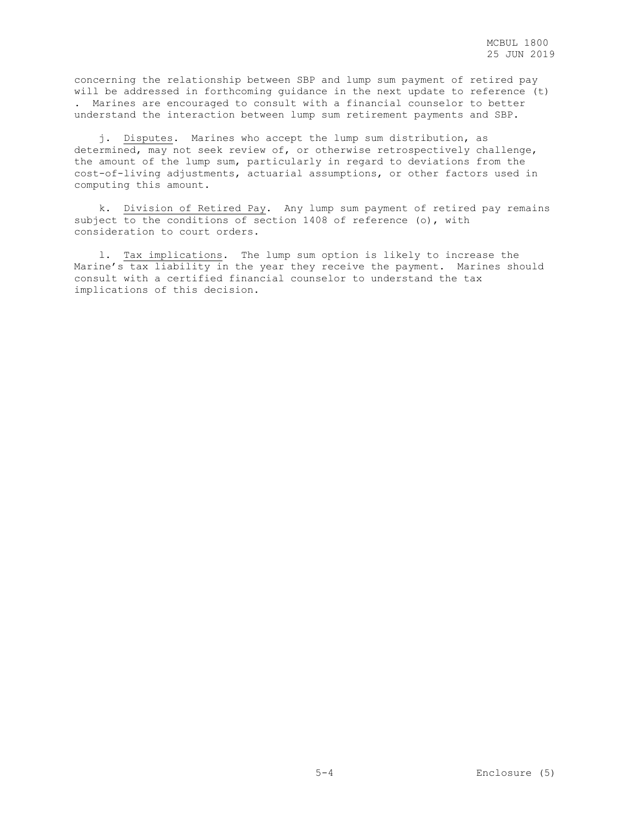concerning the relationship between SBP and lump sum payment of retired pay will be addressed in forthcoming guidance in the next update to reference (t) . Marines are encouraged to consult with a financial counselor to better understand the interaction between lump sum retirement payments and SBP.

 j. Disputes. Marines who accept the lump sum distribution, as determined, may not seek review of, or otherwise retrospectively challenge, the amount of the lump sum, particularly in regard to deviations from the cost-of-living adjustments, actuarial assumptions, or other factors used in computing this amount.

 k. Division of Retired Pay. Any lump sum payment of retired pay remains subject to the conditions of section 1408 of reference (o), with consideration to court orders.

 l. Tax implications. The lump sum option is likely to increase the Marine's tax liability in the year they receive the payment. Marines should consult with a certified financial counselor to understand the tax implications of this decision.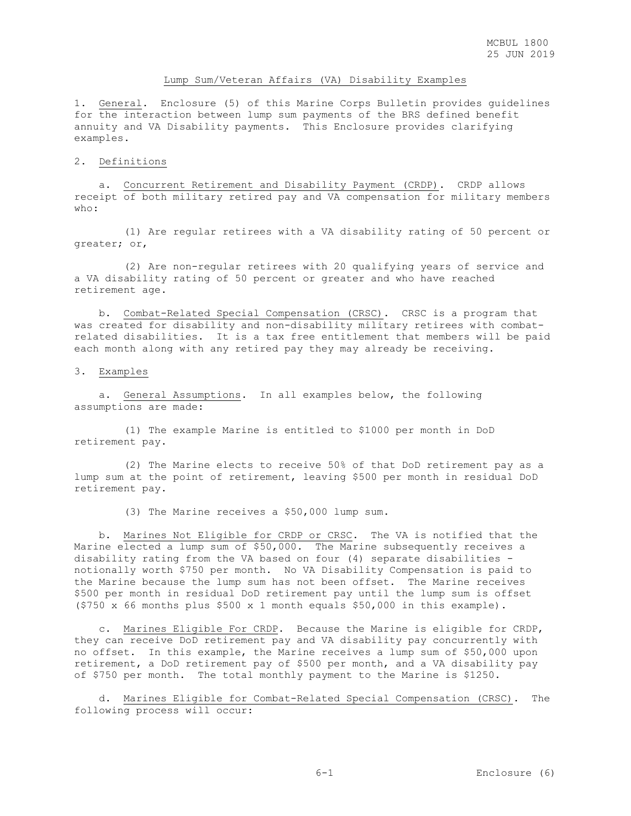## Lump Sum/Veteran Affairs (VA) Disability Examples

1. General. Enclosure (5) of this Marine Corps Bulletin provides guidelines for the interaction between lump sum payments of the BRS defined benefit annuity and VA Disability payments. This Enclosure provides clarifying examples.

### 2. Definitions

 a. Concurrent Retirement and Disability Payment (CRDP). CRDP allows receipt of both military retired pay and VA compensation for military members  $wh \cap \cdot$ 

 (1) Are regular retirees with a VA disability rating of 50 percent or greater; or,

 (2) Are non-regular retirees with 20 qualifying years of service and a VA disability rating of 50 percent or greater and who have reached retirement age.

 b. Combat-Related Special Compensation (CRSC). CRSC is a program that was created for disability and non-disability military retirees with combatrelated disabilities. It is a tax free entitlement that members will be paid each month along with any retired pay they may already be receiving.

### 3. Examples

 a. General Assumptions. In all examples below, the following assumptions are made:

 (1) The example Marine is entitled to \$1000 per month in DoD retirement pay.

 (2) The Marine elects to receive 50% of that DoD retirement pay as a lump sum at the point of retirement, leaving \$500 per month in residual DoD retirement pay.

(3) The Marine receives a \$50,000 lump sum.

 b. Marines Not Eligible for CRDP or CRSC. The VA is notified that the Marine elected a lump sum of \$50,000. The Marine subsequently receives a disability rating from the VA based on four (4) separate disabilities notionally worth \$750 per month. No VA Disability Compensation is paid to the Marine because the lump sum has not been offset. The Marine receives \$500 per month in residual DoD retirement pay until the lump sum is offset (\$750 x 66 months plus \$500 x 1 month equals \$50,000 in this example).

 c. Marines Eligible For CRDP. Because the Marine is eligible for CRDP, they can receive DoD retirement pay and VA disability pay concurrently with no offset. In this example, the Marine receives a lump sum of \$50,000 upon retirement, a DoD retirement pay of \$500 per month, and a VA disability pay of \$750 per month. The total monthly payment to the Marine is \$1250.

 d. Marines Eligible for Combat-Related Special Compensation (CRSC). The following process will occur: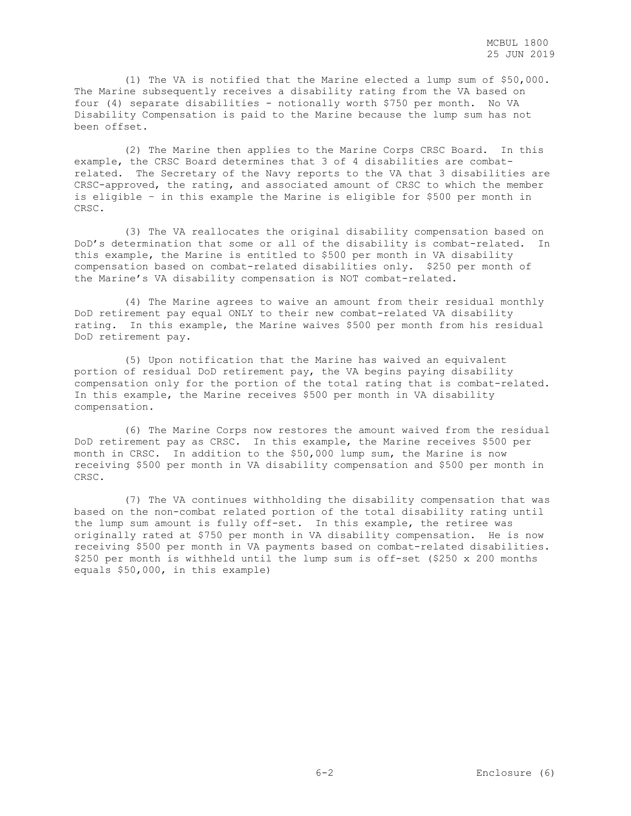(1) The VA is notified that the Marine elected a lump sum of \$50,000. The Marine subsequently receives a disability rating from the VA based on four (4) separate disabilities - notionally worth \$750 per month. No VA Disability Compensation is paid to the Marine because the lump sum has not been offset.

 (2) The Marine then applies to the Marine Corps CRSC Board. In this example, the CRSC Board determines that 3 of 4 disabilities are combatrelated. The Secretary of the Navy reports to the VA that 3 disabilities are CRSC-approved, the rating, and associated amount of CRSC to which the member is eligible – in this example the Marine is eligible for \$500 per month in CRSC.

 (3) The VA reallocates the original disability compensation based on DoD's determination that some or all of the disability is combat-related. In this example, the Marine is entitled to \$500 per month in VA disability compensation based on combat-related disabilities only. \$250 per month of the Marine's VA disability compensation is NOT combat-related.

 (4) The Marine agrees to waive an amount from their residual monthly DoD retirement pay equal ONLY to their new combat-related VA disability rating. In this example, the Marine waives \$500 per month from his residual DoD retirement pay.

 (5) Upon notification that the Marine has waived an equivalent portion of residual DoD retirement pay, the VA begins paying disability compensation only for the portion of the total rating that is combat-related. In this example, the Marine receives \$500 per month in VA disability compensation.

 (6) The Marine Corps now restores the amount waived from the residual DoD retirement pay as CRSC. In this example, the Marine receives \$500 per month in CRSC. In addition to the \$50,000 lump sum, the Marine is now receiving \$500 per month in VA disability compensation and \$500 per month in CRSC.

 (7) The VA continues withholding the disability compensation that was based on the non-combat related portion of the total disability rating until the lump sum amount is fully off-set. In this example, the retiree was originally rated at \$750 per month in VA disability compensation. He is now receiving \$500 per month in VA payments based on combat-related disabilities. \$250 per month is withheld until the lump sum is off-set (\$250 x 200 months equals \$50,000, in this example)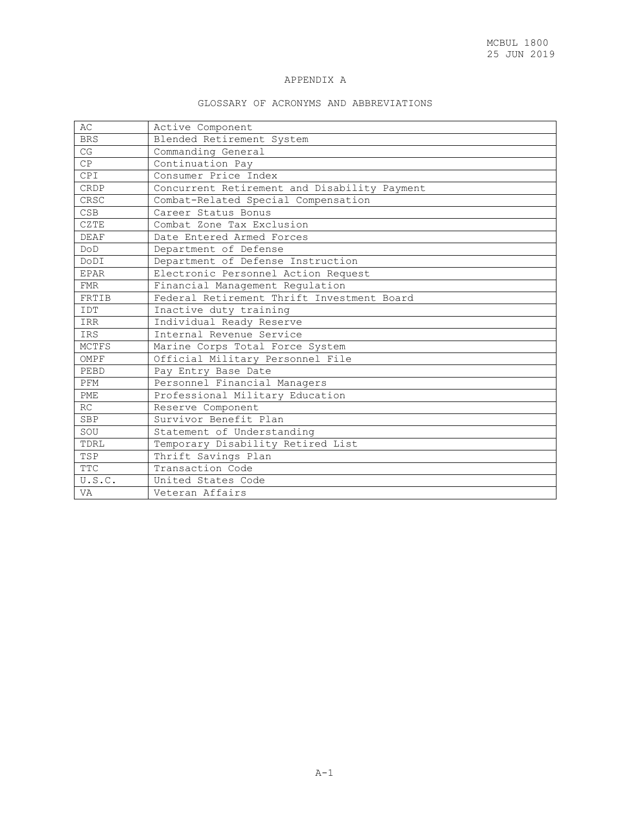# APPENDIX A

# GLOSSARY OF ACRONYMS AND ABBREVIATIONS

| AC          | Active Component                             |
|-------------|----------------------------------------------|
| <b>BRS</b>  | Blended Retirement System                    |
| CG          | Commanding General                           |
| CP          | Continuation Pay                             |
| CPI         | Consumer Price Index                         |
| CRDP        | Concurrent Retirement and Disability Payment |
| CRSC        | Combat-Related Special Compensation          |
| <b>CSB</b>  | Career Status Bonus                          |
| CZTE        | Combat Zone Tax Exclusion                    |
| <b>DEAF</b> | Date Entered Armed Forces                    |
| DOD         | Department of Defense                        |
| DODI        | Department of Defense Instruction            |
| <b>EPAR</b> | Electronic Personnel Action Request          |
| FMR         | Financial Management Regulation              |
| FRTIB       | Federal Retirement Thrift Investment Board   |
| IDT         | Inactive duty training                       |
| IRR         | Individual Ready Reserve                     |
| <b>IRS</b>  | Internal Revenue Service                     |
| MCTFS       | Marine Corps Total Force System              |
| OMPF        | Official Military Personnel File             |
| PEBD        | Pay Entry Base Date                          |
| PFM         | Personnel Financial Managers                 |
| <b>PME</b>  | Professional Military Education              |
| RC          | Reserve Component                            |
| <b>SBP</b>  | Survivor Benefit Plan                        |
| SOU         | Statement of Understanding                   |
| TDRL        | Temporary Disability Retired List            |
| TSP         | Thrift Savings Plan                          |
| <b>TTC</b>  | Transaction Code                             |
| U.S.C.      | United States Code                           |
| VA          | Veteran Affairs                              |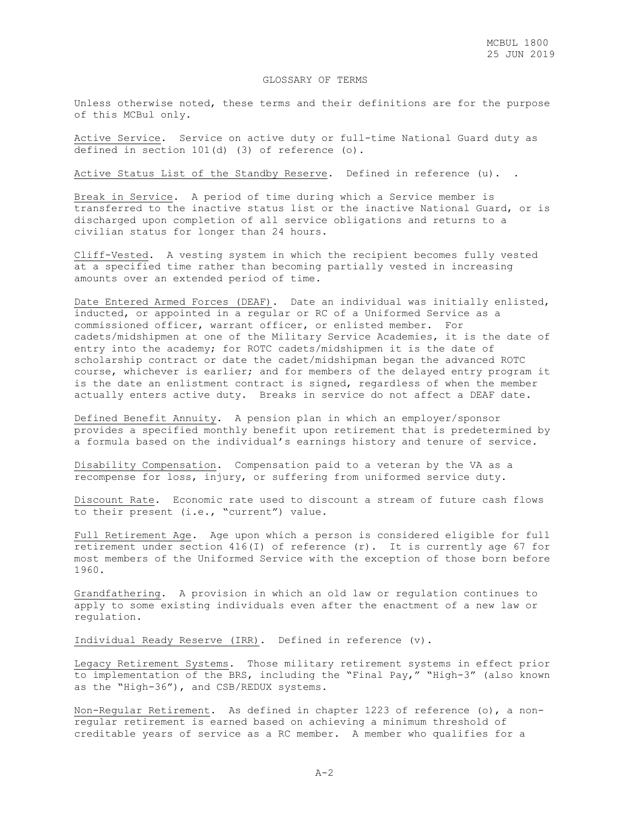### GLOSSARY OF TERMS

Unless otherwise noted, these terms and their definitions are for the purpose of this MCBul only.

Active Service. Service on active duty or full-time National Guard duty as defined in section 101(d) (3) of reference (o).

Active Status List of the Standby Reserve. Defined in reference (u). .

Break in Service. A period of time during which a Service member is transferred to the inactive status list or the inactive National Guard, or is discharged upon completion of all service obligations and returns to a civilian status for longer than 24 hours.

Cliff-Vested. A vesting system in which the recipient becomes fully vested at a specified time rather than becoming partially vested in increasing amounts over an extended period of time.

Date Entered Armed Forces (DEAF). Date an individual was initially enlisted, inducted, or appointed in a regular or RC of a Uniformed Service as a commissioned officer, warrant officer, or enlisted member. For cadets/midshipmen at one of the Military Service Academies, it is the date of entry into the academy; for ROTC cadets/midshipmen it is the date of scholarship contract or date the cadet/midshipman began the advanced ROTC course, whichever is earlier; and for members of the delayed entry program it is the date an enlistment contract is signed, regardless of when the member actually enters active duty. Breaks in service do not affect a DEAF date.

Defined Benefit Annuity. A pension plan in which an employer/sponsor provides a specified monthly benefit upon retirement that is predetermined by a formula based on the individual's earnings history and tenure of service.

Disability Compensation. Compensation paid to a veteran by the VA as a recompense for loss, injury, or suffering from uniformed service duty.

Discount Rate. Economic rate used to discount a stream of future cash flows to their present (i.e., "current") value.

Full Retirement Age. Age upon which a person is considered eligible for full retirement under section  $416(I)$  of reference (r). It is currently age 67 for most members of the Uniformed Service with the exception of those born before 1960.

Grandfathering. A provision in which an old law or regulation continues to apply to some existing individuals even after the enactment of a new law or regulation.

Individual Ready Reserve (IRR). Defined in reference (v).

Legacy Retirement Systems. Those military retirement systems in effect prior to implementation of the BRS, including the "Final Pay," "High-3" (also known as the "High-36"), and CSB/REDUX systems.

Non-Regular Retirement. As defined in chapter 1223 of reference (o), a nonregular retirement is earned based on achieving a minimum threshold of creditable years of service as a RC member. A member who qualifies for a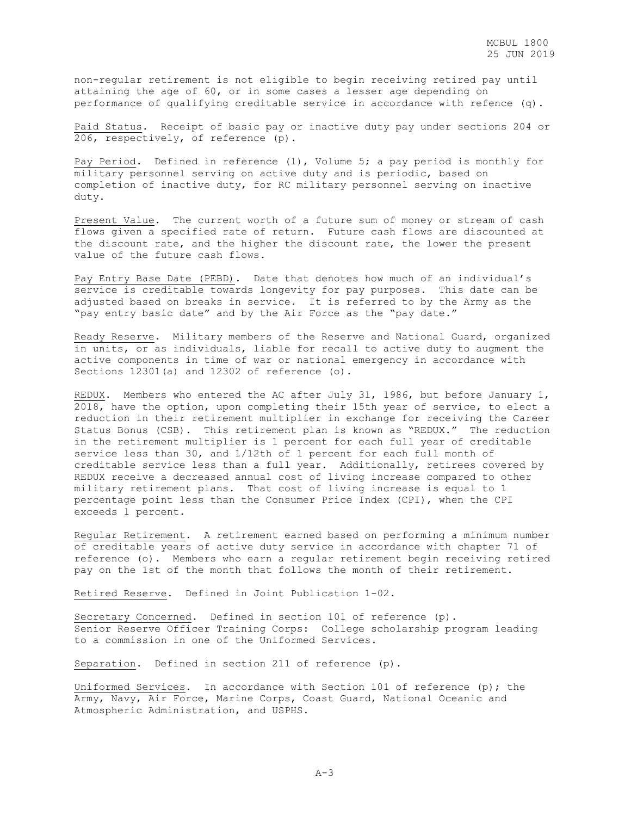non-regular retirement is not eligible to begin receiving retired pay until attaining the age of 60, or in some cases a lesser age depending on performance of qualifying creditable service in accordance with refence (q).

Paid Status. Receipt of basic pay or inactive duty pay under sections 204 or 206, respectively, of reference (p).

Pay Period. Defined in reference (l), Volume 5; a pay period is monthly for military personnel serving on active duty and is periodic, based on completion of inactive duty, for RC military personnel serving on inactive duty.

Present Value. The current worth of a future sum of money or stream of cash flows given a specified rate of return. Future cash flows are discounted at the discount rate, and the higher the discount rate, the lower the present value of the future cash flows.

Pay Entry Base Date (PEBD). Date that denotes how much of an individual's service is creditable towards longevity for pay purposes. This date can be adjusted based on breaks in service. It is referred to by the Army as the "pay entry basic date" and by the Air Force as the "pay date."

Ready Reserve. Military members of the Reserve and National Guard, organized in units, or as individuals, liable for recall to active duty to augment the active components in time of war or national emergency in accordance with Sections 12301(a) and 12302 of reference (o).

REDUX. Members who entered the AC after July 31, 1986, but before January 1, 2018, have the option, upon completing their 15th year of service, to elect a reduction in their retirement multiplier in exchange for receiving the Career Status Bonus (CSB). This retirement plan is known as "REDUX." The reduction in the retirement multiplier is 1 percent for each full year of creditable service less than 30, and 1/12th of 1 percent for each full month of creditable service less than a full year. Additionally, retirees covered by REDUX receive a decreased annual cost of living increase compared to other military retirement plans. That cost of living increase is equal to 1 percentage point less than the Consumer Price Index (CPI), when the CPI exceeds 1 percent.

Regular Retirement. A retirement earned based on performing a minimum number of creditable years of active duty service in accordance with chapter 71 of reference (o). Members who earn a regular retirement begin receiving retired pay on the 1st of the month that follows the month of their retirement.

Retired Reserve. Defined in Joint Publication 1-02.

Secretary Concerned. Defined in section 101 of reference (p). Senior Reserve Officer Training Corps: College scholarship program leading to a commission in one of the Uniformed Services.

Separation. Defined in section 211 of reference (p).

Uniformed Services. In accordance with Section 101 of reference (p); the Army, Navy, Air Force, Marine Corps, Coast Guard, National Oceanic and Atmospheric Administration, and USPHS.